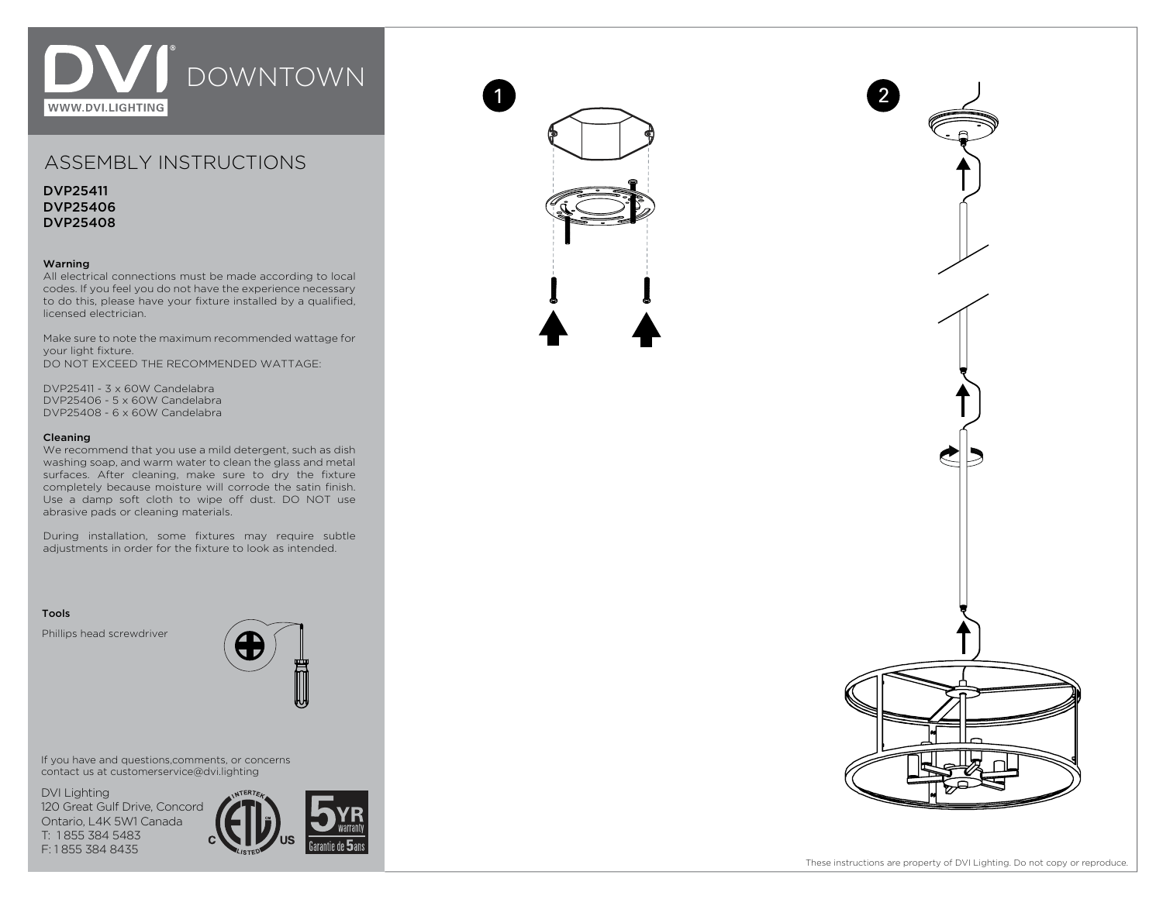

# ASSEMBLY INSTRUCTIONS

DVP25411 DVP25406 DVP25408

## Warning

All electrical connections must be made according to local codes. If you feel you do not have the experience necessary to do this, please have your fixture installed by a qualified, licensed electrician.

Make sure to note the maximum recommended wattage for your light fixture. DO NOT EXCEED THE RECOMMENDED WATTAGE:

DVP25411 - 3 x 60W Candelabra DVP25406 - 5 x 60W Candelabra DVP25408 - 6 x 60W Candelabra

### Cleaning

We recommend that you use a mild detergent, such as dish washing soap, and warm water to clean the glass and metal surfaces. After cleaning, make sure to dry the fixture completely because moisture will corrode the satin finish. Use a damp soft cloth to wipe off dust. DO NOT use abrasive pads or cleaning materials.

During installation, some fixtures may require subtle adjustments in order for the fixture to look as intended.

### Tools

Phillips head screwdriver



If you have and questions,comments, or concerns contact us at customerservice@dvi.lighting

DVI Lighting 120 Great Gulf Drive, Concord Ontario, L4K 5W1 Canada T: 1 855 384 5483 F: 1 855 384 8435





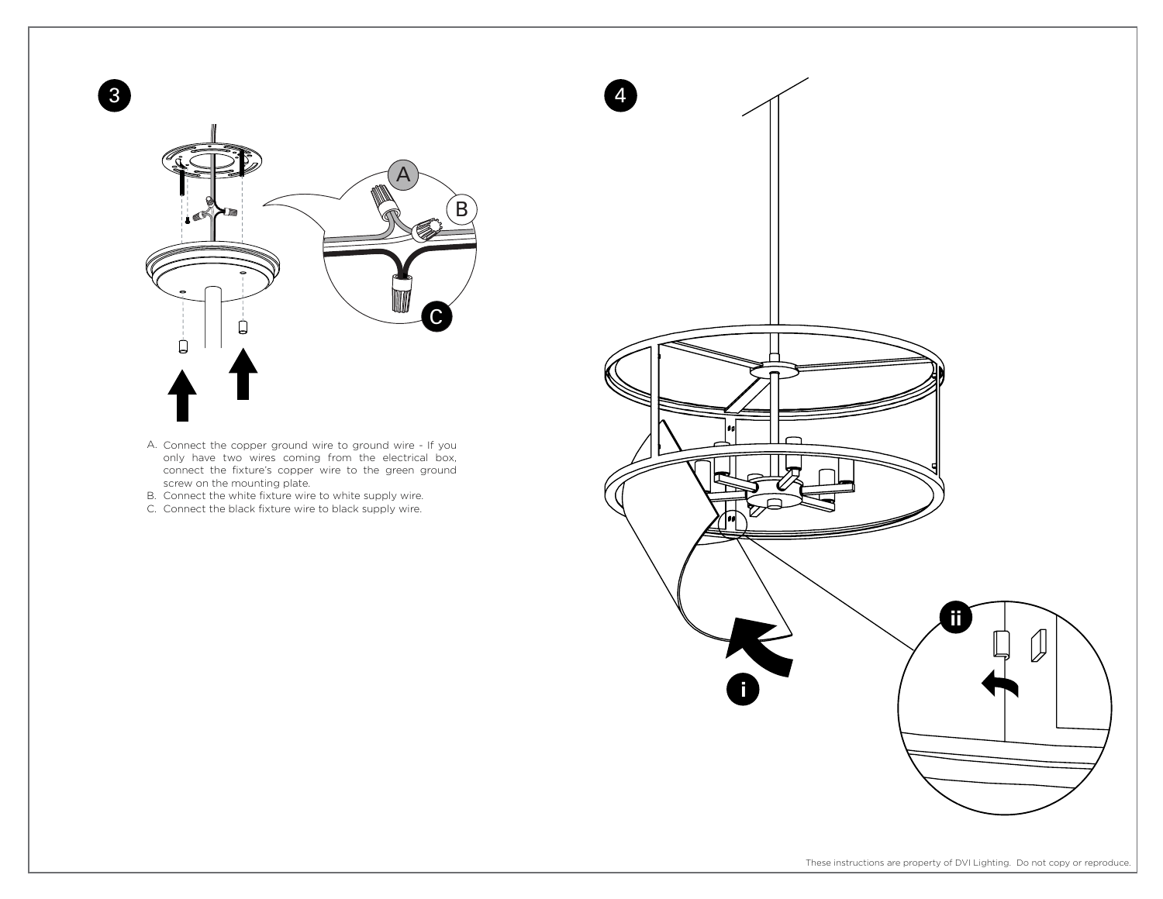

- Connect the copper ground wire to ground wire If you only have two wires coming from the electrical box, connect the fixture's copper wire to the green ground screw on the mounting plate. A.
- B. Connect the white fixture wire to white supply wire.
- C. Connect the black fixture wire to black supply wire.

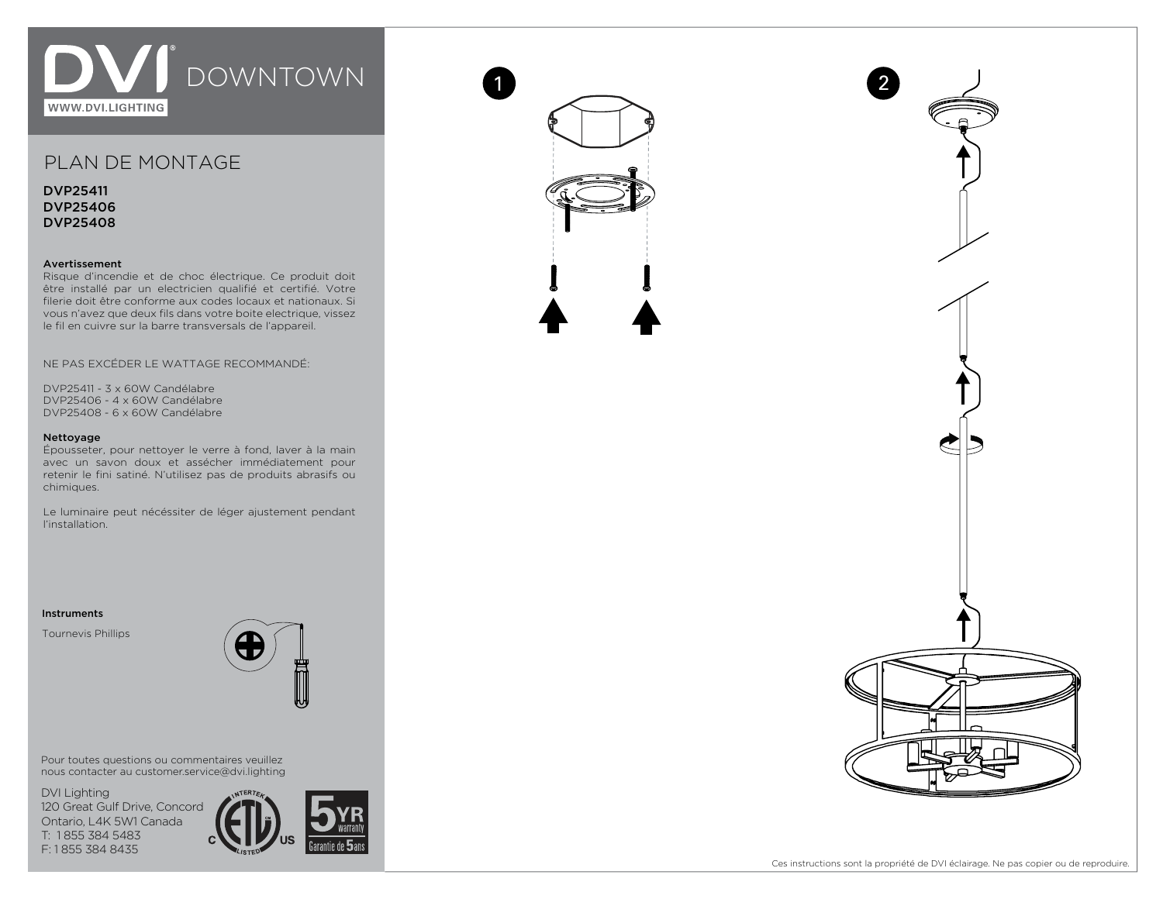

# PLAN DE MONTAGE

DVP25411 DVP25406 DVP25408

## Avertissement

Risque d'incendie et de choc électrique. Ce produit doit être installé par un electricien qualifié et certifié. Votre filerie doit être conforme aux codes locaux et nationaux. Si vous n'avez que deux fils dans votre boite electrique, vissez le fil en cuivre sur la barre transversals de l'appareil.

NE PAS EXCÉDER LE WATTAGE RECOMMANDÉ:

DVP25411 - 3 x 60W Candélabre DVP25406 - 4 x 60W Candélabre DVP25408 - 6 x 60W Candélabre

### Nettoyage

Épousseter, pour nettoyer le verre à fond, laver à la main avec un savon doux et assécher immédiatement pour retenir le fini satiné. N'utilisez pas de produits abrasifs ou chimiques.

Le luminaire peut nécéssiter de léger ajustement pendant l'installation.

### Instruments

Tournevis Phillips



Pour toutes questions ou commentaires veuillez nous contacter au customer.service@dvi.lighting

DVI Lighting 120 Great Gulf Drive, Concord Ontario, L4K 5W1 Canada T: 1 855 384 5483 F: 1 855 384 8435